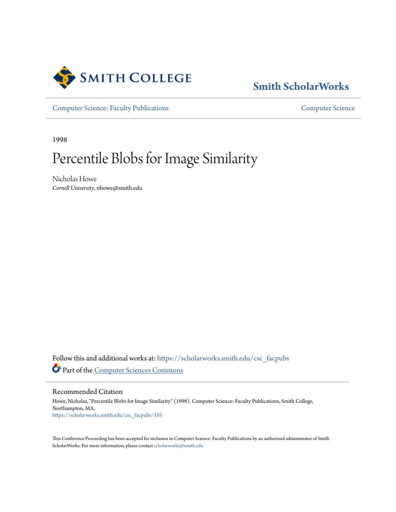

# **[Smith ScholarWorks](https://scholarworks.smith.edu/?utm_source=scholarworks.smith.edu%2Fcsc_facpubs%2F105&utm_medium=PDF&utm_campaign=PDFCoverPages)**

[Computer Science: Faculty Publications](https://scholarworks.smith.edu/csc_facpubs?utm_source=scholarworks.smith.edu%2Fcsc_facpubs%2F105&utm_medium=PDF&utm_campaign=PDFCoverPages) **[Computer Science](https://scholarworks.smith.edu/csc?utm_source=scholarworks.smith.edu%2Fcsc_facpubs%2F105&utm_medium=PDF&utm_campaign=PDFCoverPages)** Computer Science

1998

# Percentile Blobs for Image Similarity

Nicholas Howe *Cornell University*, nhowe@smith.edu

Follow this and additional works at: [https://scholarworks.smith.edu/csc\\_facpubs](https://scholarworks.smith.edu/csc_facpubs?utm_source=scholarworks.smith.edu%2Fcsc_facpubs%2F105&utm_medium=PDF&utm_campaign=PDFCoverPages) Part of the [Computer Sciences Commons](http://network.bepress.com/hgg/discipline/142?utm_source=scholarworks.smith.edu%2Fcsc_facpubs%2F105&utm_medium=PDF&utm_campaign=PDFCoverPages)

Recommended Citation Howe, Nicholas, "Percentile Blobs for Image Similarity" (1998). Computer Science: Faculty Publications, Smith College, Northampton, MA. [https://scholarworks.smith.edu/csc\\_facpubs/105](https://scholarworks.smith.edu/csc_facpubs/105?utm_source=scholarworks.smith.edu%2Fcsc_facpubs%2F105&utm_medium=PDF&utm_campaign=PDFCoverPages)

This Conference Proceeding has been accepted for inclusion in Computer Science: Faculty Publications by an authorized administrator of Smith ScholarWorks. For more information, please contact [scholarworks@smith.edu](mailto:scholarworks@smith.edu)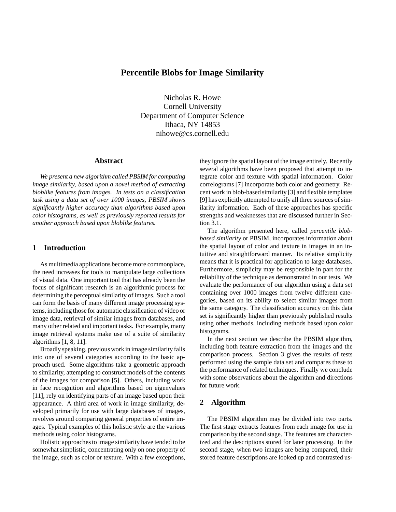# **Percentile Blobs for Image Similarity**

Nicholas R. Howe Cornell University Department of Computer Science Ithaca, NY 14853 nihowe@cs.cornell.edu

#### **Abstract**

*We present a new algorithm called PBSIM for computing image similarity, based upon a novel method of extracting bloblike features from images. In tests on a classification task using a data set of over 1000 images, PBSIM shows significantly higher accuracy than algorithms based upon color histograms, as well as previously reported results for another approach based upon bloblike features.*

#### **1 Introduction**

As multimedia applications become more commonplace, the need increases for tools to manipulate large collections of visual data. One important tool that has already been the focus of significant research is an algorithmic process for determining the perceptual similarity of images. Such a tool can form the basis of many different image processing systems, including those for automatic classification of video or image data, retrieval of similar images from databases, and many other related and important tasks. For example, many image retrieval systems make use of a suite of similarity algorithms [1, 8, 11].

Broadly speaking, previous work in image similarity falls into one of several categories according to the basic approach used. Some algorithms take a geometric approach to similarity, attempting to construct models of the contents of the images for comparison [5]. Others, including work in face recognition and algorithms based on eigenvalues [11], rely on identifying parts of an image based upon their appearance. A third area of work in image similarity, developed primarily for use with large databases of images, revolves around comparing general properties of entire images. Typical examples of this holistic style are the various methods using color histograms.

Holistic approaches to image similarity have tended to be somewhat simplistic, concentrating only on one property of the image, such as color or texture. With a few exceptions, they ignore the spatial layout of the image entirely. Recently several algorithms have been proposed that attempt to integrate color and texture with spatial information. Color correlograms [7] incorporate both color and geometry. Recent work in blob-based similarity [3] and flexible templates [9] has explicitly attempted to unify all three sources of similarity information. Each of these approaches has specific strengths and weaknesses that are discussed further in Section 3.1.

The algorithm presented here, called *percentile blobbased similarity* or PBSIM, incorporates information about the spatial layout of color and texture in images in an intuitive and straightforward manner. Its relative simplicity means that it is practical for application to large databases. Furthermore, simplicity may be responsible in part for the reliability of the technique as demonstrated in our tests. We evaluate the performance of our algorithm using a data set containing over 1000 images from twelve different categories, based on its ability to select similar images from the same category. The classification accuracy on this data set is significantly higher than previously published results using other methods, including methods based upon color histograms.

In the next section we describe the PBSIM algorithm, including both feature extraction from the images and the comparison process. Section 3 gives the results of tests performed using the sample data set and compares these to the performance of related techniques. Finally we conclude with some observations about the algorithm and directions for future work.

# **2 Algorithm**

The PBSIM algorithm may be divided into two parts. The first stage extracts features from each image for use in comparison by the second stage. The features are characterized and the descriptions stored for later processing. In the second stage, when two images are being compared, their stored feature descriptions are looked up and contrasted us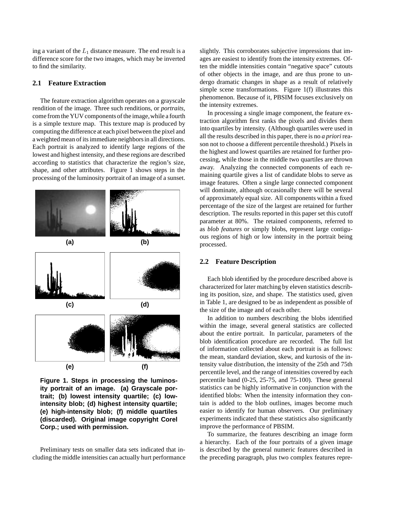ing a variant of the  $L_1$  distance measure. The end result is a difference score for the two images, which may be inverted to find the similarity.

#### **2.1 Feature Extraction**

The feature extraction algorithm operates on a grayscale rendition of the image. Three such renditions, or *portraits,* come from the YUV components of the image,while a fourth is a simple texture map. This texture map is produced by computing the difference at each pixel between the pixel and a weighted mean of its immediate neighbors in all directions. Each portrait is analyzed to identify large regions of the lowest and highest intensity, and these regions are described according to statistics that characterize the region's size, shape, and other attributes. Figure 1 shows steps in the processing of the luminosity portrait of an image of a sunset.



**Figure 1. Steps in processing the luminosity portrait of an image. (a) Grayscale portrait; (b) lowest intensity quartile; (c) lowintensity blob; (d) highest intensity quartile; (e) high-intensity blob; (f) middle quartiles (discarded). Original image copyright Corel Corp.; used with permission.**

Preliminary tests on smaller data sets indicated that including the middle intensities can actually hurt performance slightly. This corroborates subjective impressions that images are easiest to identify from the intensity extremes. Often the middle intensities contain "negative space" cutouts of other objects in the image, and are thus prone to undergo dramatic changes in shape as a result of relatively simple scene transformations. Figure 1(f) illustrates this phenomenon. Because of it, PBSIM focuses exclusively on the intensity extremes.

In processing a single image component, the feature extraction algorithm first ranks the pixels and divides them into quartiles by intensity. (Although quartiles were used in all the results described in this paper, there is no *a priori* reason not to choose a different percentile threshold.) Pixels in the highest and lowest quartiles are retained for further processing, while those in the middle two quartiles are thrown away. Analyzing the connected components of each remaining quartile gives a list of candidate blobs to serve as image features. Often a single large connected component will dominate, although occasionally there will be several of approximately equal size. All components within a fixed percentage of the size of the largest are retained for further description. The results reported in this paper set this cutoff parameter at 80%. The retained components, referred to as *blob features* or simply blobs, represent large contiguous regions of high or low intensity in the portrait being processed.

#### **2.2 Feature Description**

Each blob identified by the procedure described above is characterized for later matching by eleven statistics describing its position, size, and shape. The statistics used, given in Table 1, are designed to be as independent as possible of the size of the image and of each other.

In addition to numbers describing the blobs identified within the image, several general statistics are collected about the entire portrait. In particular, parameters of the blob identification procedure are recorded. The full list of information collected about each portrait is as follows: the mean, standard deviation, skew, and kurtosis of the intensity value distribution, the intensity of the 25th and 75th percentile level, and the range of intensities covered by each percentile band (0-25, 25-75, and 75-100). These general statistics can be highly informative in conjunction with the identified blobs: When the intensity information they contain is added to the blob outlines, images become much easier to identify for human observers. Our preliminary experiments indicated that these statistics also significantly improve the performance of PBSIM.

To summarize, the features describing an image form a hierarchy. Each of the four portraits of a given image is described by the general numeric features described in the preceding paragraph, plus two complex features repre-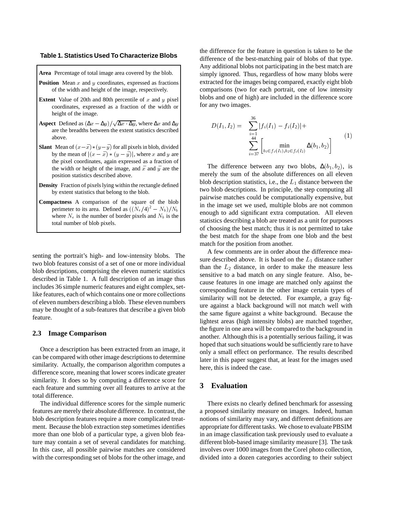#### **Table 1. Statistics Used To Characterize Blobs**

**Area** Percentage of total image area covered by the blob.

- **Position** Mean  $x$  and  $y$  coordinates, expressed as fractions of the width and height of the image, respectively.
- **Extent** Value of 20th and 80th percentile of  $x$  and  $y$  pixel coordinates, expressed as a fraction of the width or height of the image.
- **Aspect** Defined as  $(\Delta x \Delta y)/\sqrt{\Delta x} \Delta y$ , where  $\Delta x$  and  $\Delta y$ are the breadths between the extent statistics described above.
- **Slant** Mean of  $(x \bar{x})*(y \bar{y})$  for all pixels in blob, divided by the mean of  $|(x - \bar{x}) * (y - \bar{y})|$ , where x and y are the pixel coordinates, again expressed as a fraction of the width or height of the image, and  $\bar{x}$  and  $\bar{y}$  are the position statistics described above.
- **Density** Fraction of pixels lying within the rectangle defined by extent statistics that belong to the blob.
- **Compactness** A comparison of the square of the blob perimeter to its area. Defined as  $((N_e/4)^2 - N_b)/N_b$ where  $N_e$  is the number of border pixels and  $N_b$  is the total number of blob pixels.

senting the portrait's high- and low-intensity blobs. The two blob features consist of a set of one or more individual blob descriptions, comprising the eleven numeric statistics described in Table 1. A full description of an image thus includes 36 simple numeric features and eight complex, setlike features, each of which contains one or more collections of eleven numbers describing a blob. These eleven numbers may be thought of a sub-features that describe a given blob feature.

#### **2.3 Image Comparison**

Once a description has been extracted from an image, it can be compared with other image descriptions to determine similarity. Actually, the comparison algorithm computes a difference score, meaning that lower scores indicate greater similarity. It does so by computing a difference score for each feature and summing over all features to arrive at the total difference.

The individual difference scores for the simple numeric features are merely their absolute difference. In contrast, the blob description features require a more complicated treatment. Because the blob extraction step sometimes identifies more than one blob of a particular type, a given blob feature may contain a set of several candidates for matching. In this case, all possible pairwise matches are considered with the corresponding set of blobs for the other image, and

the difference for the feature in question is taken to be the difference of the best-matching pair of blobs of that type. Any additional blobs not participating in the best match are simply ignored. Thus, regardless of how many blobs were extracted for the images being compared, exactly eight blob comparisons (two for each portrait, one of low intensity blobs and one of high) are included in the difference score for any two images.

$$
D(I_1, I_2) = \sum_{\substack{i=1 \ 44}}^{36} |f_i(I_1) - f_i(I_2)| + \sum_{\substack{44 \ 45}}^{36} \left[ \min_{b_1 \in f_i(I_1), b_2 \in f_i(I_2)} \Delta(b_1, b_2) \right]
$$
 (1)

The difference between any two blobs,  $\Delta(b_1, b_2)$ , is merely the sum of the absolute differences on all eleven blob description statistics, i.e., the  $L_1$  distance between the two blob descriptions. In principle, the step computing all pairwise matches could be computationally expensive, but in the image set we used, multiple blobs are not common enough to add significant extra computation. All eleven statistics describing a blob are treated as a unit for purposes of choosing the best match; thus it is not permitted to take the best match for the shape from one blob and the best match for the position from another.

A few comments are in order about the difference measure described above. It is based on the  $L_1$  distance rather than the  $L_2$  distance, in order to make the measure less sensitive to a bad match on any single feature. Also, because features in one image are matched only against the corresponding feature in the other image certain types of similarity will not be detected. For example, a gray figure against a black background will not match well with the same figure against a white background. Because the lightest areas (high intensity blobs) are matched together, the figure in one area will be compared to the background in another. Although this is a potentially serious failing, it was hoped that such situations would be sufficiently rare to have only a small effect on performance. The results described later in this paper suggest that, at least for the images used here, this is indeed the case.

# **3 Evaluation**

There exists no clearly defined benchmark for assessing a proposed similarity measure on images. Indeed, human notions of similarity may vary, and different definitions are appropriate for different tasks. We chose to evaluate PBSIM in an image classification task previously used to evaluate a different blob-based image similarity measure [3]. The task involves over 1000 images from the Corel photo collection, divided into a dozen categories according to their subject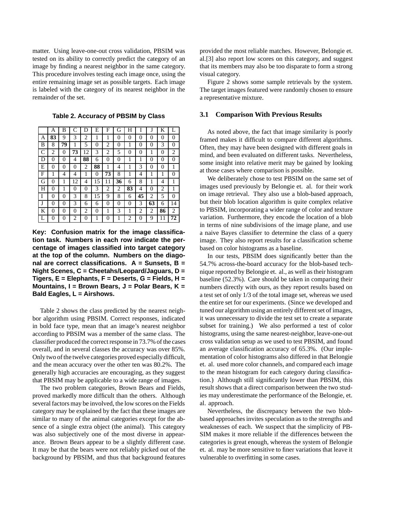matter. Using leave-one-out cross validation, PBSIM was tested on its ability to correctly predict the category of an image by finding a nearest neighbor in the same category. This procedure involves testing each image once, using the entire remaining image set as possible targets. Each image is labeled with the category of its nearest neighbor in the remainder of the set.

**Table 2. Accuracy of PBSIM by Class**

|   | Α  | B        | С              | D  | E        | F        | G  | Н        | ı  | J        | K        |                |
|---|----|----------|----------------|----|----------|----------|----|----------|----|----------|----------|----------------|
| Α | 83 | 9        | 3              | 2  | 1        | l        | 0  | $\theta$ | 0  | 0        | 0        | 0              |
| В | 8  | 79       | 1              | 5  | 0        | 2        | 0  | 1        | 0  | 0        | 3        | 0              |
| C | 2  | $\Omega$ | 73             | 12 | 3        | 2        | 5  | $\theta$ | 0  | 1        | 0        | 2              |
| D | 0  | $\Omega$ | 4              | 88 | 6        | $\theta$ | 0  | 1        | 1  | $\Omega$ | $\theta$ | 0              |
| E | 0  | 0        | $\overline{0}$ | 2  | 88       | 1        | 4  | 1        | 3  | 0        | 0        |                |
| F | 1  | 4        | 4              | 1  | 0        | 73       | 8  | 1        | 4  | 1        | 1        | $\overline{0}$ |
| G | 0  |          | 12             | 4  | 15       | 11       | 36 | 6        | 8  | 1        | 4        |                |
| Н | 0  |          | 0              | 0  | 3        | 2        | 2  | 83       | 4  | $\theta$ | 2        |                |
| I | 0  | 0        | 3              | 8  | 15       | 9        | 8  | 6        | 45 | 2        | 5        | 0              |
| J | 0  | $\theta$ | 3              | 6  | 6        | 0        | 0  | 0        | 3  | 63       | 6        | 14             |
| K | 0  | 0        | 0              | 2  | $\theta$ |          | 3  | 1        | 2  | 2        | 86       | 2              |
| L | 0  | 0        | 2              | 0  |          | 0        |    | 2        | 0  | 9        | 11       | 72             |

**Key: Confusion matrix for the image classification task. Numbers in each row indicate the percentage of images classified into target category at the top of the column. Numbers on the diagonal are correct classifications. A = Sunsets, B = Night Scenes, C = Cheetahs/Leopard/Jaguars, D = Tigers, E = Elephants, F = Deserts, G = Fields, H = Mountains, I = Brown Bears, J = Polar Bears, K = Bald Eagles, L = Airshows.**

Table 2 shows the class predicted by the nearest neighbor algorithm using PBSIM. Correct responses, indicated in bold face type, mean that an image's nearest neighbor according to PBSIM was a member of the same class. The classifier produced the correct response in 73.7% of the cases overall, and in several classes the accuracy was over 85%. Only two of the twelve categories proved especially difficult, and the mean accuracy over the other ten was 80.2%. The generally high accuracies are encouraging, as they suggest that PBSIM may be applicable to a wide range of images.

The two problem categories, Brown Bears and Fields, proved markedly more difficult than the others. Although several factors may be involved, the low scores on the Fields category may be explained by the fact that these images are similar to many of the animal categories except for the absence of a single extra object (the animal). This category was also subjectively one of the most diverse in appearance. Brown Bears appear to be a slightly different case. It may be that the bears were not reliably picked out of the background by PBSIM, and thus that background features provided the most reliable matches. However, Belongie et. al.[3] also report low scores on this category, and suggest that its members may also be too disparate to form a strong visual category.

Figure 2 shows some sample retrievals by the system. The target images featured were randomly chosen to ensure a representative mixture.

#### **3.1 Comparison With Previous Results**

As noted above, the fact that image similarity is poorly framed makes it difficult to compare different algorithms. Often, they may have been designed with different goals in mind, and been evaluated on different tasks. Nevertheless, some insight into relative merit may be gained by looking at those cases where comparison is possible.

We deliberately chose to test PBSIM on the same set of images used previously by Belongie et. al. for their work on image retrieval. They also use a blob-based approach, but their blob location algorithm is quite complex relative to PBSIM, incorporating a wider range of color and texture variation. Furthermore, they encode the location of a blob in terms of nine subdivisions of the image plane, and use a naive Bayes classifier to determine the class of a query image. They also report results for a classification scheme based on color histograms as a baseline.

In our tests, PBSIM does significantly better than the 54.7% across-the-board accuracy for the blob-based technique reported by Belongie et. al., as well as their histogram baseline (52.3%). Care should be taken in comparing their numbers directly with ours, as they report results based on a test set of only 1/3 of the total image set, whereas we used the entire set for our experiments. (Since we developed and tuned our algorithm using an entirely different set of images, it was unnecessary to divide the test set to create a separate subset for training.) We also performed a test of color histograms, using the same nearest-neighbor, leave-one-out cross validation setup as we used to test PBSIM, and found an average classification accuracy of 65.3%. (Our implementation of color histograms also differed in that Belongie et. al. used more color channels, and compared each image to the mean histogram for each category during classification.) Although still significantly lower than PBSIM, this result shows that a direct comparison between the two studies may underestimate the performance of the Belongie, et. al. approach.

Nevertheless, the discrepancy between the two blobbased approaches invites speculation as to the strengths and weaknesses of each. We suspect that the simplicity of PB-SIM makes it more reliable if the differences between the categories is great enough, whereas the system of Belongie et. al. may be more sensitive to finer variations that leave it vulnerable to overfitting in some cases.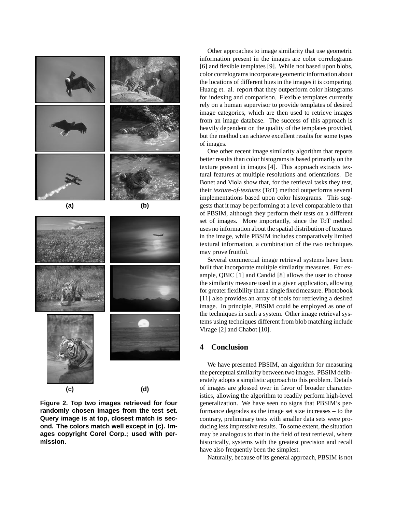

**Figure 2. Top two images retrieved for four randomly chosen images from the test set. Query image is at top, closest match is second. The colors match well except in (c). Images copyright Corel Corp.; used with permission.**

Other approaches to image similarity that use geometric information present in the images are color correlograms [6] and flexible templates [9]. While not based upon blobs, color correlograms incorporate geometric information about the locations of different hues in the images it is comparing. Huang et. al. report that they outperform color histograms for indexing and comparison. Flexible templates currently rely on a human supervisor to provide templates of desired image categories, which are then used to retrieve images from an image database. The success of this approach is heavily dependent on the quality of the templates provided, but the method can achieve excellent results for some types of images.

One other recent image similarity algorithm that reports better results than color histograms is based primarily on the texture present in images [4]. This approach extracts textural features at multiple resolutions and orientations. De Bonet and Viola show that, for the retrieval tasks they test, their *texture-of-textures* (ToT) method outperforms several implementations based upon color histograms. This suggests that it may be performing at a level comparable to that of PBSIM, although they perform their tests on a different set of images. More importantly, since the ToT method uses no information about the spatial distribution of textures in the image, while PBSIM includes comparatively limited textural information, a combination of the two techniques may prove fruitful.

Several commercial image retrieval systems have been built that incorporate multiple similarity measures. For example, QBIC [1] and Candid [8] allows the user to choose the similarity measure used in a given application, allowing for greater flexibility than a single fixed measure. Photobook [11] also provides an array of tools for retrieving a desired image. In principle, PBSIM could be employed as one of the techniques in such a system. Other image retrieval systems using techniques different from blob matching include Virage [2] and Chabot [10].

#### **4 Conclusion**

We have presented PBSIM, an algorithm for measuring the perceptual similarity between two images. PBSIM deliberately adopts a simplistic approach to this problem. Details of images are glossed over in favor of broader characteristics, allowing the algorithm to readily perform high-level generalization. We have seen no signs that PBSIM's performance degrades as the image set size increases – to the contrary, preliminary tests with smaller data sets were producing less impressive results. To some extent, the situation may be analogous to that in the field of text retrieval, where historically, systems with the greatest precision and recall have also frequently been the simplest.

Naturally, because of its general approach, PBSIM is not